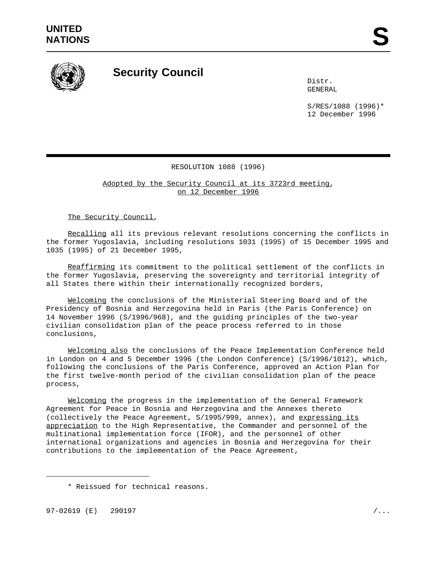

## **Security Council**

Distr. GENERAL

S/RES/1088 (1996)\* 12 December 1996

## RESOLUTION 1088 (1996)

Adopted by the Security Council at its 3723rd meeting, on 12 December 1996

The Security Council,

Recalling all its previous relevant resolutions concerning the conflicts in the former Yugoslavia, including resolutions 1031 (1995) of 15 December 1995 and 1035 (1995) of 21 December 1995,

Reaffirming its commitment to the political settlement of the conflicts in the former Yugoslavia, preserving the sovereignty and territorial integrity of all States there within their internationally recognized borders,

Welcoming the conclusions of the Ministerial Steering Board and of the Presidency of Bosnia and Herzegovina held in Paris (the Paris Conference) on 14 November 1996 (S/1996/968), and the guiding principles of the two-year civilian consolidation plan of the peace process referred to in those conclusions,

Welcoming also the conclusions of the Peace Implementation Conference held in London on 4 and 5 December 1996 (the London Conference) (S/1996/1012), which, following the conclusions of the Paris Conference, approved an Action Plan for the first twelve-month period of the civilian consolidation plan of the peace process,

Welcoming the progress in the implementation of the General Framework Agreement for Peace in Bosnia and Herzegovina and the Annexes thereto (collectively the Peace Agreement, S/1995/999, annex), and expressing its appreciation to the High Representative, the Commander and personnel of the multinational implementation force (IFOR), and the personnel of other international organizations and agencies in Bosnia and Herzegovina for their contributions to the implementation of the Peace Agreement,

 $\overline{a}$ 

 <sup>\*</sup> Reissued for technical reasons.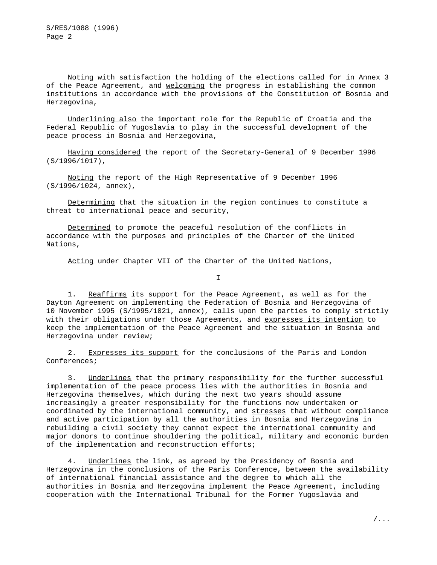Noting with satisfaction the holding of the elections called for in Annex 3 of the Peace Agreement, and welcoming the progress in establishing the common institutions in accordance with the provisions of the Constitution of Bosnia and Herzegovina,

Underlining also the important role for the Republic of Croatia and the Federal Republic of Yugoslavia to play in the successful development of the peace process in Bosnia and Herzegovina,

Having considered the report of the Secretary-General of 9 December 1996 (S/1996/1017),

Noting the report of the High Representative of 9 December 1996 (S/1996/1024, annex),

Determining that the situation in the region continues to constitute a threat to international peace and security,

Determined to promote the peaceful resolution of the conflicts in accordance with the purposes and principles of the Charter of the United Nations,

Acting under Chapter VII of the Charter of the United Nations,

I

1. Reaffirms its support for the Peace Agreement, as well as for the Dayton Agreement on implementing the Federation of Bosnia and Herzegovina of 10 November 1995 (S/1995/1021, annex), calls upon the parties to comply strictly with their obligations under those Agreements, and expresses its intention to keep the implementation of the Peace Agreement and the situation in Bosnia and Herzegovina under review;

2. Expresses its support for the conclusions of the Paris and London Conferences;

3. Underlines that the primary responsibility for the further successful implementation of the peace process lies with the authorities in Bosnia and Herzegovina themselves, which during the next two years should assume increasingly a greater responsibility for the functions now undertaken or coordinated by the international community, and stresses that without compliance and active participation by all the authorities in Bosnia and Herzegovina in rebuilding a civil society they cannot expect the international community and major donors to continue shouldering the political, military and economic burden of the implementation and reconstruction efforts;

4. Underlines the link, as agreed by the Presidency of Bosnia and Herzegovina in the conclusions of the Paris Conference, between the availability of international financial assistance and the degree to which all the authorities in Bosnia and Herzegovina implement the Peace Agreement, including cooperation with the International Tribunal for the Former Yugoslavia and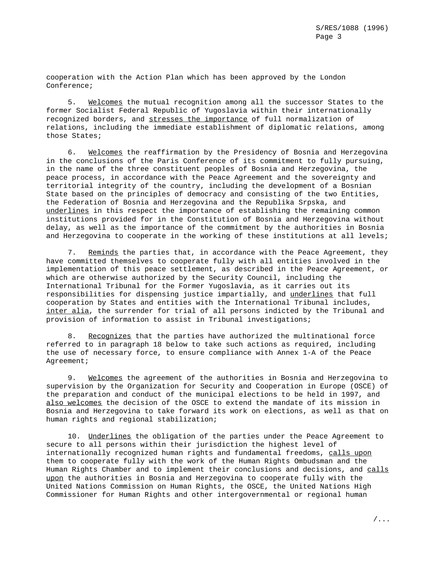cooperation with the Action Plan which has been approved by the London Conference;

5. Welcomes the mutual recognition among all the successor States to the former Socialist Federal Republic of Yugoslavia within their internationally recognized borders, and stresses the importance of full normalization of relations, including the immediate establishment of diplomatic relations, among those States;

6. Welcomes the reaffirmation by the Presidency of Bosnia and Herzegovina in the conclusions of the Paris Conference of its commitment to fully pursuing, in the name of the three constituent peoples of Bosnia and Herzegovina, the peace process, in accordance with the Peace Agreement and the sovereignty and territorial integrity of the country, including the development of a Bosnian State based on the principles of democracy and consisting of the two Entities, the Federation of Bosnia and Herzegovina and the Republika Srpska, and underlines in this respect the importance of establishing the remaining common institutions provided for in the Constitution of Bosnia and Herzegovina without delay, as well as the importance of the commitment by the authorities in Bosnia and Herzegovina to cooperate in the working of these institutions at all levels;

7. Reminds the parties that, in accordance with the Peace Agreement, they have committed themselves to cooperate fully with all entities involved in the implementation of this peace settlement, as described in the Peace Agreement, or which are otherwise authorized by the Security Council, including the International Tribunal for the Former Yugoslavia, as it carries out its responsibilities for dispensing justice impartially, and underlines that full cooperation by States and entities with the International Tribunal includes, inter alia, the surrender for trial of all persons indicted by the Tribunal and provision of information to assist in Tribunal investigations;

8. Recognizes that the parties have authorized the multinational force referred to in paragraph 18 below to take such actions as required, including the use of necessary force, to ensure compliance with Annex 1-A of the Peace Agreement;

9. Welcomes the agreement of the authorities in Bosnia and Herzegovina to supervision by the Organization for Security and Cooperation in Europe (OSCE) of the preparation and conduct of the municipal elections to be held in 1997, and also welcomes the decision of the OSCE to extend the mandate of its mission in Bosnia and Herzegovina to take forward its work on elections, as well as that on human rights and regional stabilization;

10. Underlines the obligation of the parties under the Peace Agreement to secure to all persons within their jurisdiction the highest level of internationally recognized human rights and fundamental freedoms, calls upon them to cooperate fully with the work of the Human Rights Ombudsman and the Human Rights Chamber and to implement their conclusions and decisions, and calls upon the authorities in Bosnia and Herzegovina to cooperate fully with the United Nations Commission on Human Rights, the OSCE, the United Nations High Commissioner for Human Rights and other intergovernmental or regional human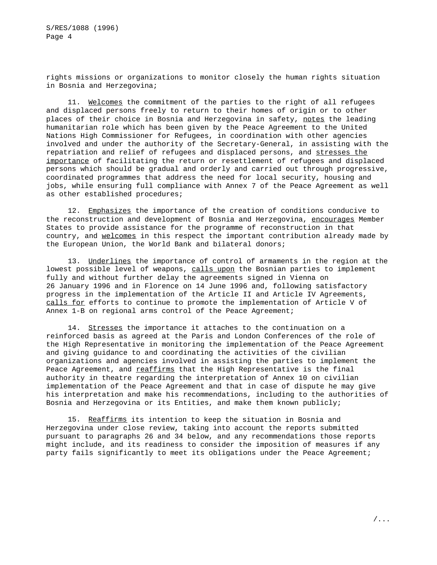rights missions or organizations to monitor closely the human rights situation in Bosnia and Herzegovina;

11. Welcomes the commitment of the parties to the right of all refugees and displaced persons freely to return to their homes of origin or to other places of their choice in Bosnia and Herzegovina in safety, notes the leading humanitarian role which has been given by the Peace Agreement to the United Nations High Commissioner for Refugees, in coordination with other agencies involved and under the authority of the Secretary-General, in assisting with the repatriation and relief of refugees and displaced persons, and stresses the importance of facilitating the return or resettlement of refugees and displaced persons which should be gradual and orderly and carried out through progressive, coordinated programmes that address the need for local security, housing and jobs, while ensuring full compliance with Annex 7 of the Peace Agreement as well as other established procedures;

12. Emphasizes the importance of the creation of conditions conducive to the reconstruction and development of Bosnia and Herzegovina, encourages Member States to provide assistance for the programme of reconstruction in that country, and welcomes in this respect the important contribution already made by the European Union, the World Bank and bilateral donors;

13. Underlines the importance of control of armaments in the region at the lowest possible level of weapons, calls upon the Bosnian parties to implement fully and without further delay the agreements signed in Vienna on 26 January 1996 and in Florence on 14 June 1996 and, following satisfactory progress in the implementation of the Article II and Article IV Agreements, calls for efforts to continue to promote the implementation of Article V of Annex 1-B on regional arms control of the Peace Agreement;

14. Stresses the importance it attaches to the continuation on a reinforced basis as agreed at the Paris and London Conferences of the role of the High Representative in monitoring the implementation of the Peace Agreement and giving guidance to and coordinating the activities of the civilian organizations and agencies involved in assisting the parties to implement the Peace Agreement, and reaffirms that the High Representative is the final authority in theatre regarding the interpretation of Annex 10 on civilian implementation of the Peace Agreement and that in case of dispute he may give his interpretation and make his recommendations, including to the authorities of Bosnia and Herzegovina or its Entities, and make them known publicly;

15. Reaffirms its intention to keep the situation in Bosnia and Herzegovina under close review, taking into account the reports submitted pursuant to paragraphs 26 and 34 below, and any recommendations those reports might include, and its readiness to consider the imposition of measures if any party fails significantly to meet its obligations under the Peace Agreement;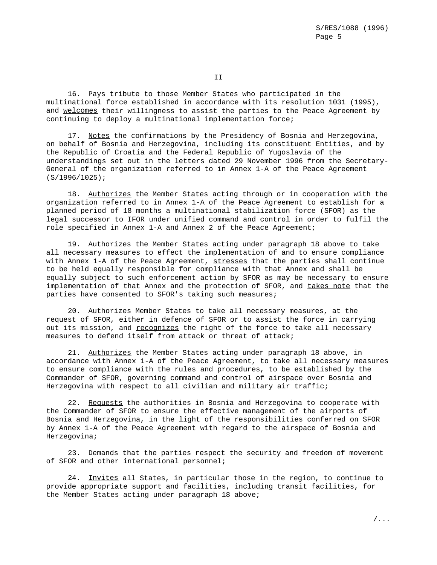II

16. Pays tribute to those Member States who participated in the multinational force established in accordance with its resolution 1031 (1995), and welcomes their willingness to assist the parties to the Peace Agreement by continuing to deploy a multinational implementation force;

17. Notes the confirmations by the Presidency of Bosnia and Herzegovina, on behalf of Bosnia and Herzegovina, including its constituent Entities, and by the Republic of Croatia and the Federal Republic of Yugoslavia of the understandings set out in the letters dated 29 November 1996 from the Secretary-General of the organization referred to in Annex 1-A of the Peace Agreement (S/1996/1025);

18. Authorizes the Member States acting through or in cooperation with the organization referred to in Annex 1-A of the Peace Agreement to establish for a planned period of 18 months a multinational stabilization force (SFOR) as the legal successor to IFOR under unified command and control in order to fulfil the role specified in Annex 1-A and Annex 2 of the Peace Agreement;

19. Authorizes the Member States acting under paragraph 18 above to take all necessary measures to effect the implementation of and to ensure compliance with Annex 1-A of the Peace Agreement, stresses that the parties shall continue to be held equally responsible for compliance with that Annex and shall be equally subject to such enforcement action by SFOR as may be necessary to ensure implementation of that Annex and the protection of SFOR, and takes note that the parties have consented to SFOR's taking such measures;

20. Authorizes Member States to take all necessary measures, at the request of SFOR, either in defence of SFOR or to assist the force in carrying out its mission, and recognizes the right of the force to take all necessary measures to defend itself from attack or threat of attack;

21. Authorizes the Member States acting under paragraph 18 above, in accordance with Annex 1-A of the Peace Agreement, to take all necessary measures to ensure compliance with the rules and procedures, to be established by the Commander of SFOR, governing command and control of airspace over Bosnia and Herzegovina with respect to all civilian and military air traffic;

22. Requests the authorities in Bosnia and Herzegovina to cooperate with the Commander of SFOR to ensure the effective management of the airports of Bosnia and Herzegovina, in the light of the responsibilities conferred on SFOR by Annex 1-A of the Peace Agreement with regard to the airspace of Bosnia and Herzegovina;

23. Demands that the parties respect the security and freedom of movement of SFOR and other international personnel;

24. Invites all States, in particular those in the region, to continue to provide appropriate support and facilities, including transit facilities, for the Member States acting under paragraph 18 above;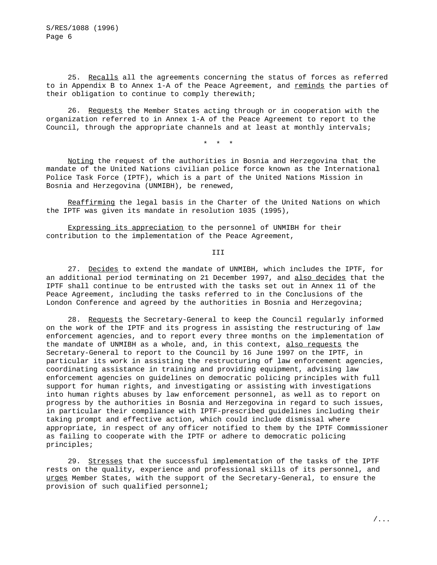25. Recalls all the agreements concerning the status of forces as referred to in Appendix B to Annex 1-A of the Peace Agreement, and reminds the parties of their obligation to continue to comply therewith;

26. Requests the Member States acting through or in cooperation with the organization referred to in Annex 1-A of the Peace Agreement to report to the Council, through the appropriate channels and at least at monthly intervals;

\* \* \*

Noting the request of the authorities in Bosnia and Herzegovina that the mandate of the United Nations civilian police force known as the International Police Task Force (IPTF), which is a part of the United Nations Mission in Bosnia and Herzegovina (UNMIBH), be renewed,

Reaffirming the legal basis in the Charter of the United Nations on which the IPTF was given its mandate in resolution 1035 (1995),

Expressing its appreciation to the personnel of UNMIBH for their contribution to the implementation of the Peace Agreement,

III

27. Decides to extend the mandate of UNMIBH, which includes the IPTF, for an additional period terminating on 21 December 1997, and also decides that the IPTF shall continue to be entrusted with the tasks set out in Annex 11 of the Peace Agreement, including the tasks referred to in the Conclusions of the London Conference and agreed by the authorities in Bosnia and Herzegovina;

28. Requests the Secretary-General to keep the Council regularly informed on the work of the IPTF and its progress in assisting the restructuring of law enforcement agencies, and to report every three months on the implementation of the mandate of UNMIBH as a whole, and, in this context, also requests the Secretary-General to report to the Council by 16 June 1997 on the IPTF, in particular its work in assisting the restructuring of law enforcement agencies, coordinating assistance in training and providing equipment, advising law enforcement agencies on guidelines on democratic policing principles with full support for human rights, and investigating or assisting with investigations into human rights abuses by law enforcement personnel, as well as to report on progress by the authorities in Bosnia and Herzegovina in regard to such issues, in particular their compliance with IPTF-prescribed guidelines including their taking prompt and effective action, which could include dismissal where appropriate, in respect of any officer notified to them by the IPTF Commissioner as failing to cooperate with the IPTF or adhere to democratic policing principles;

29. Stresses that the successful implementation of the tasks of the IPTF rests on the quality, experience and professional skills of its personnel, and urges Member States, with the support of the Secretary-General, to ensure the provision of such qualified personnel;